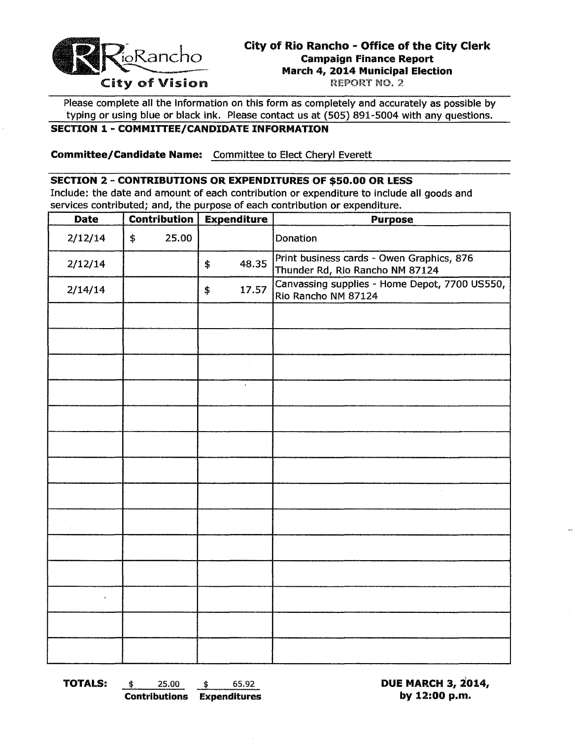

# City of Rio Rancho - Office of the City Clerk City of Rio Rancho - Office of the City of Rio Rancho - Office of the City of Rio Rancho - Office of the City of Vision March 4, 2014 Municipal Election<br>REPORT NO. 2

Please complete all the information on this form as completely and accurately as possible by typing or using blue or black ink. Please contact us at (505) 891-5004 with any questions.

## SECTION 1- COMMITTEE/CANDIDATE INFORMATION

Committee/Candidate Name: Committee to Elect Cheryl Everett

## SECTION 2 - CONTRIBUTIONS OR EXPENDITURES OF \$50.00 OR LESS

Include: the date and amount of each contribution or expenditure to include all goods and services contributed; and, the purpose of each contribution or expenditure.

| <b>Contribution</b><br><b>Date</b> |               | <b>Expenditure</b> |    | <b>Purpose</b>      |                                                                              |  |
|------------------------------------|---------------|--------------------|----|---------------------|------------------------------------------------------------------------------|--|
| 2/12/14                            | $\frac{1}{2}$ | 25.00              |    |                     | Donation                                                                     |  |
| 2/12/14                            |               |                    | \$ | 48.35               | Print business cards - Owen Graphics, 876<br>Thunder Rd, Rio Rancho NM 87124 |  |
| 2/14/14                            |               |                    | \$ | 17.57               | Canvassing supplies - Home Depot, 7700 US550,<br>Rio Rancho NM 87124         |  |
|                                    |               |                    |    |                     |                                                                              |  |
|                                    |               |                    |    |                     |                                                                              |  |
|                                    |               |                    |    |                     |                                                                              |  |
|                                    |               |                    |    | $\mathcal{L}^{\pm}$ |                                                                              |  |
|                                    |               |                    |    |                     |                                                                              |  |
|                                    |               |                    |    |                     |                                                                              |  |
|                                    |               |                    |    |                     |                                                                              |  |
|                                    |               |                    |    |                     |                                                                              |  |
|                                    |               |                    |    |                     |                                                                              |  |
|                                    |               |                    |    |                     |                                                                              |  |
|                                    |               |                    |    |                     |                                                                              |  |
| $\bullet$                          |               |                    |    |                     |                                                                              |  |
|                                    |               |                    |    |                     |                                                                              |  |
|                                    |               |                    |    |                     |                                                                              |  |

TOTALS:  $\qquad \qquad$  \$  $65.92$  DUE MARCH 3, 2014, Contributions Expenditures by 12:00 p.m.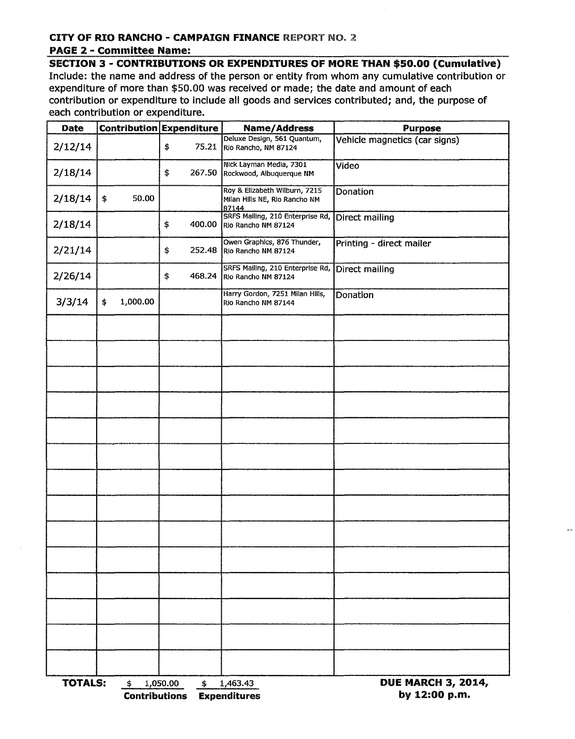## CITY OF RIO RANCHO - CAMPAIGN FINANCE REPORT NO. 2 PAGE 2 - Committee Name:

SECTION 3 - CONTRIBUTIONS OR EXPENDITURES OF MORE THAN \$50.00 (Cumulative) Include: the name and address of the person or entity from whom any cumulative contribution or expenditure of more than \$50.00 was received or made; the date and amount of each contribution or expenditure to include all goods and services contributed; and, the purpose of each contribution or expenditure.

| Date           |                            | Contribution Expenditure | <b>Name/Address</b>                                                     | <b>Purpose</b>                             |
|----------------|----------------------------|--------------------------|-------------------------------------------------------------------------|--------------------------------------------|
| 2/12/14        |                            | \$<br>75.21              | Deluxe Design, 561 Quantum,<br>Rio Rancho, NM 87124                     | Vehicle magnetics (car signs)              |
| 2/18/14        |                            | \$<br>267.50             | Nick Layman Media, 7301<br>Rockwood, Albuquerque NM                     | Video                                      |
| 2/18/14        | \$<br>50.00                |                          | Roy & Elizabeth Wilburn, 7215<br>Milan Hills NE, Rio Rancho NM<br>87144 | Donation                                   |
| 2/18/14        |                            | \$<br>400.00             | SRFS Mailing, 210 Enterprise Rd,<br>Rio Rancho NM 87124                 | Direct mailing                             |
| 2/21/14        |                            | 252.48<br>\$             | Owen Graphics, 876 Thunder,<br>Rio Rancho NM 87124                      | Printing - direct mailer                   |
| 2/26/14        |                            | \$                       | SRFS Mailing, 210 Enterprise Rd,<br>468.24 Rio Rancho NM 87124          | Direct mailing                             |
| 3/3/14         | 1,000.00<br>\$             |                          | Harry Gordon, 7251 Milan Hills,<br>Rio Rancho NM 87144                  | Donation                                   |
|                |                            |                          |                                                                         |                                            |
|                |                            |                          |                                                                         |                                            |
|                |                            |                          |                                                                         |                                            |
|                |                            |                          |                                                                         |                                            |
|                |                            |                          |                                                                         |                                            |
|                |                            |                          |                                                                         |                                            |
|                |                            |                          |                                                                         |                                            |
|                |                            |                          |                                                                         |                                            |
|                |                            |                          |                                                                         |                                            |
|                |                            |                          |                                                                         |                                            |
|                |                            |                          |                                                                         |                                            |
|                |                            |                          |                                                                         |                                            |
|                |                            |                          |                                                                         |                                            |
|                |                            |                          |                                                                         |                                            |
| <b>TOTALS:</b> | \$<br><b>Contributions</b> | 1,050.00<br>\$           | 1,463.43<br><b>Expenditures</b>                                         | <b>DUE MARCH 3, 2014,</b><br>by 12:00 p.m. |